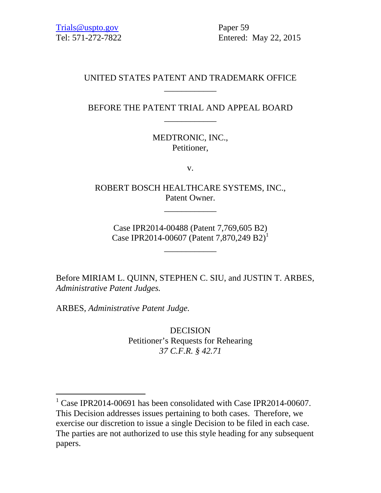Trials@uspto.gov Paper 59

Tel: 571-272-7822 Entered: May 22, 2015

### UNITED STATES PATENT AND TRADEMARK OFFICE \_\_\_\_\_\_\_\_\_\_\_\_

## BEFORE THE PATENT TRIAL AND APPEAL BOARD \_\_\_\_\_\_\_\_\_\_\_\_

MEDTRONIC, INC., Petitioner,

v.

ROBERT BOSCH HEALTHCARE SYSTEMS, INC., Patent Owner.

\_\_\_\_\_\_\_\_\_\_\_\_

Case IPR2014-00488 (Patent 7,769,605 B2) Case IPR2014-00607 (Patent 7,870,249 B2)<sup>1</sup>

\_\_\_\_\_\_\_\_\_\_\_\_

Before MIRIAM L. QUINN, STEPHEN C. SIU, and JUSTIN T. ARBES, *Administrative Patent Judges.* 

ARBES, *Administrative Patent Judge.* 

l

DECISION Petitioner's Requests for Rehearing *37 C.F.R. § 42.71* 

<sup>&</sup>lt;sup>1</sup> Case IPR2014-00691 has been consolidated with Case IPR2014-00607. This Decision addresses issues pertaining to both cases. Therefore, we exercise our discretion to issue a single Decision to be filed in each case. The parties are not authorized to use this style heading for any subsequent papers.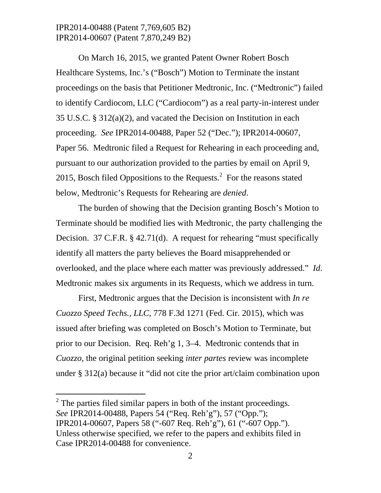On March 16, 2015, we granted Patent Owner Robert Bosch Healthcare Systems, Inc.'s ("Bosch") Motion to Terminate the instant proceedings on the basis that Petitioner Medtronic, Inc. ("Medtronic") failed to identify Cardiocom, LLC ("Cardiocom") as a real party-in-interest under 35 U.S.C. § 312(a)(2), and vacated the Decision on Institution in each proceeding. *See* IPR2014-00488, Paper 52 ("Dec."); IPR2014-00607, Paper 56. Medtronic filed a Request for Rehearing in each proceeding and, pursuant to our authorization provided to the parties by email on April 9, 2015, Bosch filed Oppositions to the Requests. $2$  For the reasons stated below, Medtronic's Requests for Rehearing are *denied*.

The burden of showing that the Decision granting Bosch's Motion to Terminate should be modified lies with Medtronic, the party challenging the Decision. 37 C.F.R. § 42.71(d). A request for rehearing "must specifically identify all matters the party believes the Board misapprehended or overlooked, and the place where each matter was previously addressed." *Id*. Medtronic makes six arguments in its Requests, which we address in turn.

First, Medtronic argues that the Decision is inconsistent with *In re Cuozzo Speed Techs., LLC*, 778 F.3d 1271 (Fed. Cir. 2015), which was issued after briefing was completed on Bosch's Motion to Terminate, but prior to our Decision. Req. Reh'g 1, 3–4. Medtronic contends that in *Cuozzo*, the original petition seeking *inter partes* review was incomplete under § 312(a) because it "did not cite the prior art/claim combination upon

l

 $2^2$  The parties filed similar papers in both of the instant proceedings. *See* IPR2014-00488, Papers 54 ("Req. Reh'g"), 57 ("Opp."); IPR2014-00607, Papers 58 ("-607 Req. Reh'g"), 61 ("-607 Opp."). Unless otherwise specified, we refer to the papers and exhibits filed in Case IPR2014-00488 for convenience.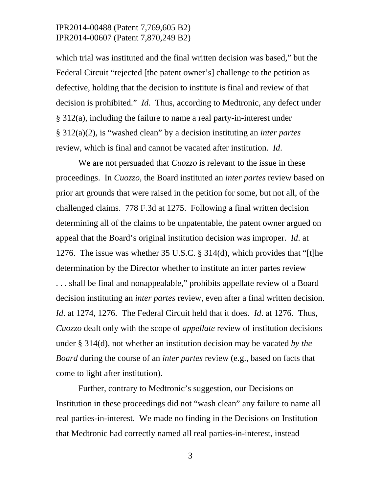which trial was instituted and the final written decision was based," but the Federal Circuit "rejected [the patent owner's] challenge to the petition as defective, holding that the decision to institute is final and review of that decision is prohibited." *Id*. Thus, according to Medtronic, any defect under § 312(a), including the failure to name a real party-in-interest under § 312(a)(2), is "washed clean" by a decision instituting an *inter partes* review, which is final and cannot be vacated after institution. *Id*.

We are not persuaded that *Cuozzo* is relevant to the issue in these proceedings. In *Cuozzo*, the Board instituted an *inter partes* review based on prior art grounds that were raised in the petition for some, but not all, of the challenged claims. 778 F.3d at 1275. Following a final written decision determining all of the claims to be unpatentable, the patent owner argued on appeal that the Board's original institution decision was improper. *Id*. at 1276. The issue was whether 35 U.S.C. § 314(d), which provides that "[t]he determination by the Director whether to institute an inter partes review . . . shall be final and nonappealable," prohibits appellate review of a Board decision instituting an *inter partes* review, even after a final written decision. *Id*. at 1274, 1276. The Federal Circuit held that it does. *Id*. at 1276. Thus, *Cuozzo* dealt only with the scope of *appellate* review of institution decisions under § 314(d), not whether an institution decision may be vacated *by the Board* during the course of an *inter partes* review (e.g., based on facts that come to light after institution).

Further, contrary to Medtronic's suggestion, our Decisions on Institution in these proceedings did not "wash clean" any failure to name all real parties-in-interest. We made no finding in the Decisions on Institution that Medtronic had correctly named all real parties-in-interest, instead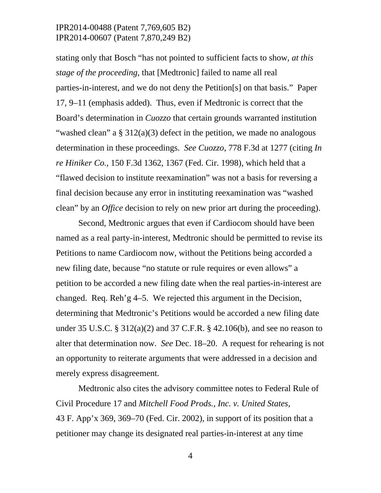stating only that Bosch "has not pointed to sufficient facts to show, *at this stage of the proceeding*, that [Medtronic] failed to name all real parties-in-interest, and we do not deny the Petition[s] on that basis." Paper 17, 9–11 (emphasis added). Thus, even if Medtronic is correct that the Board's determination in *Cuozzo* that certain grounds warranted institution "washed clean" a  $\S 312(a)(3)$  defect in the petition, we made no analogous determination in these proceedings. *See Cuozzo*, 778 F.3d at 1277 (citing *In re Hiniker Co.*, 150 F.3d 1362, 1367 (Fed. Cir. 1998), which held that a "flawed decision to institute reexamination" was not a basis for reversing a final decision because any error in instituting reexamination was "washed clean" by an *Office* decision to rely on new prior art during the proceeding).

Second, Medtronic argues that even if Cardiocom should have been named as a real party-in-interest, Medtronic should be permitted to revise its Petitions to name Cardiocom now, without the Petitions being accorded a new filing date, because "no statute or rule requires or even allows" a petition to be accorded a new filing date when the real parties-in-interest are changed. Req. Reh'g 4–5. We rejected this argument in the Decision, determining that Medtronic's Petitions would be accorded a new filing date under 35 U.S.C. § 312(a)(2) and 37 C.F.R. § 42.106(b), and see no reason to alter that determination now. *See* Dec. 18–20. A request for rehearing is not an opportunity to reiterate arguments that were addressed in a decision and merely express disagreement.

Medtronic also cites the advisory committee notes to Federal Rule of Civil Procedure 17 and *Mitchell Food Prods., Inc. v. United States*, 43 F. App'x 369, 369–70 (Fed. Cir. 2002), in support of its position that a petitioner may change its designated real parties-in-interest at any time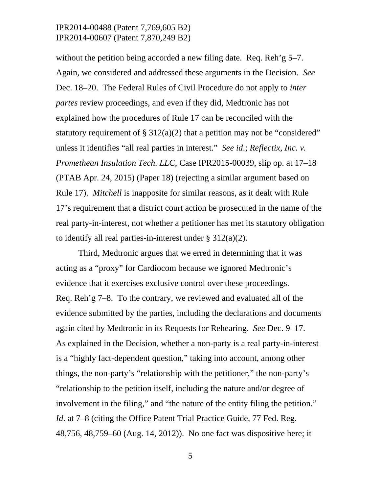without the petition being accorded a new filing date. Req. Reh'g 5–7. Again, we considered and addressed these arguments in the Decision. *See* Dec. 18–20. The Federal Rules of Civil Procedure do not apply to *inter partes* review proceedings, and even if they did, Medtronic has not explained how the procedures of Rule 17 can be reconciled with the statutory requirement of  $\S 312(a)(2)$  that a petition may not be "considered" unless it identifies "all real parties in interest." *See id*.; *Reflectix, Inc. v. Promethean Insulation Tech. LLC*, Case IPR2015-00039, slip op. at 17–18 (PTAB Apr. 24, 2015) (Paper 18) (rejecting a similar argument based on Rule 17). *Mitchell* is inapposite for similar reasons, as it dealt with Rule 17's requirement that a district court action be prosecuted in the name of the real party-in-interest, not whether a petitioner has met its statutory obligation to identify all real parties-in-interest under  $\S 312(a)(2)$ .

Third, Medtronic argues that we erred in determining that it was acting as a "proxy" for Cardiocom because we ignored Medtronic's evidence that it exercises exclusive control over these proceedings. Req. Reh'g 7–8. To the contrary, we reviewed and evaluated all of the evidence submitted by the parties, including the declarations and documents again cited by Medtronic in its Requests for Rehearing. *See* Dec. 9–17. As explained in the Decision, whether a non-party is a real party-in-interest is a "highly fact-dependent question," taking into account, among other things, the non-party's "relationship with the petitioner," the non-party's "relationship to the petition itself, including the nature and/or degree of involvement in the filing," and "the nature of the entity filing the petition." *Id*. at 7–8 (citing the Office Patent Trial Practice Guide, 77 Fed. Reg. 48,756, 48,759–60 (Aug. 14, 2012)). No one fact was dispositive here; it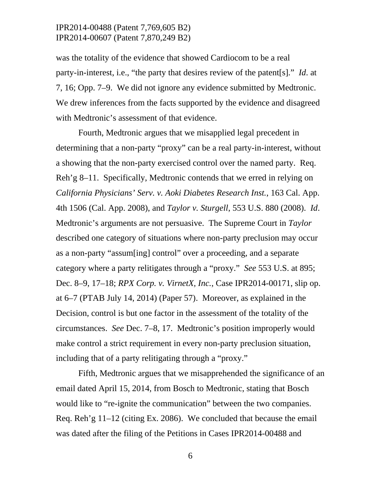was the totality of the evidence that showed Cardiocom to be a real party-in-interest, i.e., "the party that desires review of the patent[s]." *Id*. at 7, 16; Opp. 7–9. We did not ignore any evidence submitted by Medtronic. We drew inferences from the facts supported by the evidence and disagreed with Medtronic's assessment of that evidence.

Fourth, Medtronic argues that we misapplied legal precedent in determining that a non-party "proxy" can be a real party-in-interest, without a showing that the non-party exercised control over the named party. Req. Reh'g 8–11. Specifically, Medtronic contends that we erred in relying on *California Physicians' Serv. v. Aoki Diabetes Research Inst.*, 163 Cal. App. 4th 1506 (Cal. App. 2008), and *Taylor v. Sturgell*, 553 U.S. 880 (2008). *Id*. Medtronic's arguments are not persuasive. The Supreme Court in *Taylor* described one category of situations where non-party preclusion may occur as a non-party "assum[ing] control" over a proceeding, and a separate category where a party relitigates through a "proxy." *See* 553 U.S. at 895; Dec. 8–9, 17–18; *RPX Corp. v. VirnetX, Inc.*, Case IPR2014-00171, slip op. at 6–7 (PTAB July 14, 2014) (Paper 57). Moreover, as explained in the Decision, control is but one factor in the assessment of the totality of the circumstances. *See* Dec. 7–8, 17. Medtronic's position improperly would make control a strict requirement in every non-party preclusion situation, including that of a party relitigating through a "proxy."

Fifth, Medtronic argues that we misapprehended the significance of an email dated April 15, 2014, from Bosch to Medtronic, stating that Bosch would like to "re-ignite the communication" between the two companies. Req. Reh'g 11–12 (citing Ex. 2086). We concluded that because the email was dated after the filing of the Petitions in Cases IPR2014-00488 and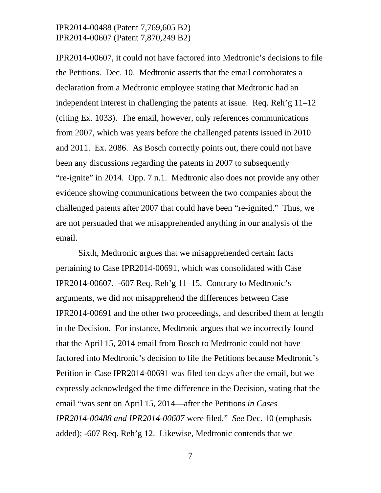IPR2014-00607, it could not have factored into Medtronic's decisions to file the Petitions. Dec. 10. Medtronic asserts that the email corroborates a declaration from a Medtronic employee stating that Medtronic had an independent interest in challenging the patents at issue. Req. Reh'g 11–12 (citing Ex. 1033). The email, however, only references communications from 2007, which was years before the challenged patents issued in 2010 and 2011. Ex. 2086. As Bosch correctly points out, there could not have been any discussions regarding the patents in 2007 to subsequently "re-ignite" in 2014. Opp. 7 n.1. Medtronic also does not provide any other evidence showing communications between the two companies about the challenged patents after 2007 that could have been "re-ignited." Thus, we are not persuaded that we misapprehended anything in our analysis of the email.

Sixth, Medtronic argues that we misapprehended certain facts pertaining to Case IPR2014-00691, which was consolidated with Case IPR2014-00607. -607 Req. Reh'g 11–15. Contrary to Medtronic's arguments, we did not misapprehend the differences between Case IPR2014-00691 and the other two proceedings, and described them at length in the Decision. For instance, Medtronic argues that we incorrectly found that the April 15, 2014 email from Bosch to Medtronic could not have factored into Medtronic's decision to file the Petitions because Medtronic's Petition in Case IPR2014-00691 was filed ten days after the email, but we expressly acknowledged the time difference in the Decision, stating that the email "was sent on April 15, 2014—after the Petitions *in Cases IPR2014-00488 and IPR2014-00607* were filed." *See* Dec. 10 (emphasis added); -607 Req. Reh'g 12. Likewise, Medtronic contends that we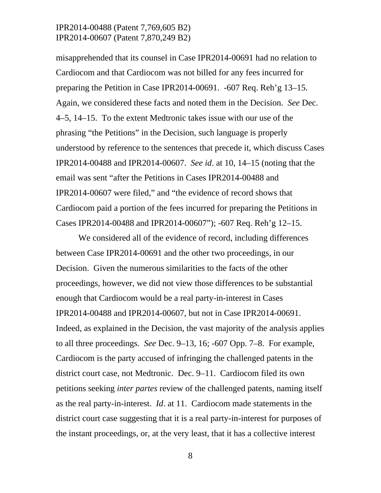misapprehended that its counsel in Case IPR2014-00691 had no relation to Cardiocom and that Cardiocom was not billed for any fees incurred for preparing the Petition in Case IPR2014-00691. -607 Req. Reh'g 13–15. Again, we considered these facts and noted them in the Decision. *See* Dec. 4–5, 14–15. To the extent Medtronic takes issue with our use of the phrasing "the Petitions" in the Decision, such language is properly understood by reference to the sentences that precede it, which discuss Cases IPR2014-00488 and IPR2014-00607. *See id*. at 10, 14–15 (noting that the email was sent "after the Petitions in Cases IPR2014-00488 and IPR2014-00607 were filed," and "the evidence of record shows that Cardiocom paid a portion of the fees incurred for preparing the Petitions in Cases IPR2014-00488 and IPR2014-00607"); -607 Req. Reh'g 12–15.

We considered all of the evidence of record, including differences between Case IPR2014-00691 and the other two proceedings, in our Decision. Given the numerous similarities to the facts of the other proceedings, however, we did not view those differences to be substantial enough that Cardiocom would be a real party-in-interest in Cases IPR2014-00488 and IPR2014-00607, but not in Case IPR2014-00691. Indeed, as explained in the Decision, the vast majority of the analysis applies to all three proceedings. *See* Dec. 9–13, 16; -607 Opp. 7–8. For example, Cardiocom is the party accused of infringing the challenged patents in the district court case, not Medtronic. Dec. 9–11. Cardiocom filed its own petitions seeking *inter partes* review of the challenged patents, naming itself as the real party-in-interest. *Id*. at 11. Cardiocom made statements in the district court case suggesting that it is a real party-in-interest for purposes of the instant proceedings, or, at the very least, that it has a collective interest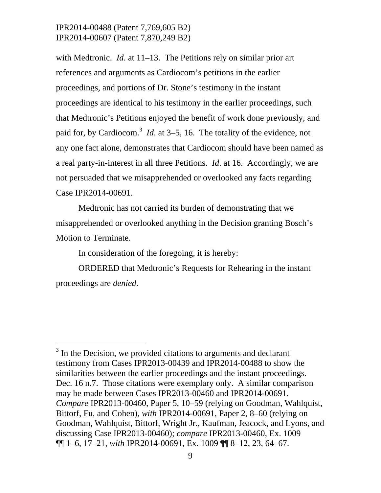with Medtronic. *Id*. at 11–13. The Petitions rely on similar prior art references and arguments as Cardiocom's petitions in the earlier proceedings, and portions of Dr. Stone's testimony in the instant proceedings are identical to his testimony in the earlier proceedings, such that Medtronic's Petitions enjoyed the benefit of work done previously, and paid for, by Cardiocom.<sup>3</sup> *Id*. at 3–5, 16. The totality of the evidence, not any one fact alone, demonstrates that Cardiocom should have been named as a real party-in-interest in all three Petitions. *Id*. at 16. Accordingly, we are not persuaded that we misapprehended or overlooked any facts regarding Case IPR2014-00691.

Medtronic has not carried its burden of demonstrating that we misapprehended or overlooked anything in the Decision granting Bosch's Motion to Terminate.

In consideration of the foregoing, it is hereby:

-

ORDERED that Medtronic's Requests for Rehearing in the instant proceedings are *denied*.

 $3$  In the Decision, we provided citations to arguments and declarant testimony from Cases IPR2013-00439 and IPR2014-00488 to show the similarities between the earlier proceedings and the instant proceedings. Dec. 16 n.7. Those citations were exemplary only. A similar comparison may be made between Cases IPR2013-00460 and IPR2014-00691. *Compare* IPR2013-00460, Paper 5, 10–59 (relying on Goodman, Wahlquist, Bittorf, Fu, and Cohen), *with* IPR2014-00691, Paper 2, 8–60 (relying on Goodman, Wahlquist, Bittorf, Wright Jr., Kaufman, Jeacock, and Lyons, and discussing Case IPR2013-00460); *compare* IPR2013-00460, Ex. 1009 ¶¶ 1–6, 17–21, *with* IPR2014-00691, Ex. 1009 ¶¶ 8–12, 23, 64–67.